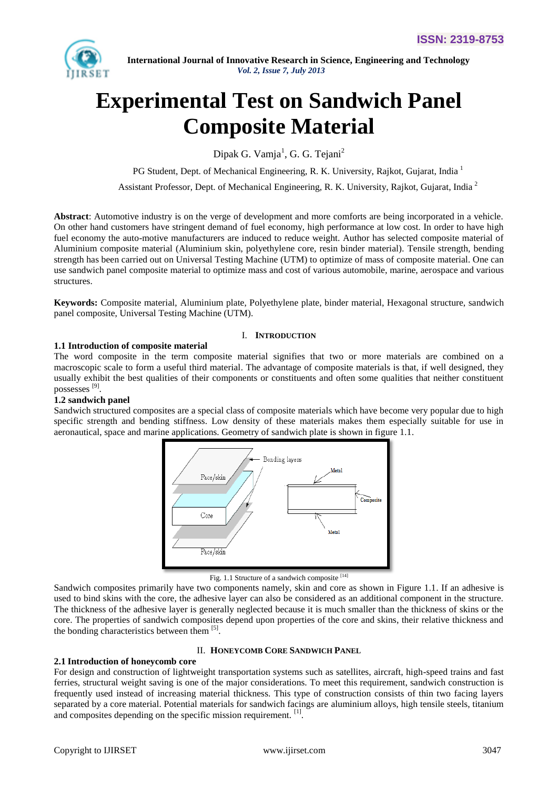

# **Experimental Test on Sandwich Panel Composite Material**

Dipak G. Vamja<sup>1</sup>, G. G. Tejani<sup>2</sup>

PG Student, Dept. of Mechanical Engineering, R. K. University, Rajkot, Gujarat, India <sup>1</sup>

Assistant Professor, Dept. of Mechanical Engineering, R. K. University, Rajkot, Gujarat, India <sup>2</sup>

**Abstract**: Automotive industry is on the verge of development and more comforts are being incorporated in a vehicle. On other hand customers have stringent demand of fuel economy, high performance at low cost. In order to have high fuel economy the auto-motive manufacturers are induced to reduce weight. Author has selected composite material of Aluminium composite material (Aluminium skin, polyethylene core, resin binder material). Tensile strength, bending strength has been carried out on Universal Testing Machine (UTM) to optimize of mass of composite material. One can use sandwich panel composite material to optimize mass and cost of various automobile, marine, aerospace and various structures.

**Keywords:** Composite material, Aluminium plate, Polyethylene plate, binder material, Hexagonal structure, sandwich panel composite, Universal Testing Machine (UTM).

### I. **INTRODUCTION**

#### **1.1 Introduction of composite material**

The word composite in the term composite material signifies that two or more materials are combined on a macroscopic scale to form a useful third material. The advantage of composite materials is that, if well designed, they usually exhibit the best qualities of their components or constituents and often some qualities that neither constituent possesses<sup>[9]</sup>.

## **1.2 sandwich panel**

Sandwich structured composites are a special class of composite materials which have become very popular due to high specific strength and bending stiffness. Low density of these materials makes them especially suitable for use in aeronautical, space and marine applications. Geometry of sandwich plate is shown in figure 1.1.



Fig. 1.1 Structure of a sandwich composite [14]

Sandwich composites primarily have two components namely, skin and core as shown in Figure 1.1. If an adhesive is used to bind skins with the core, the adhesive layer can also be considered as an additional component in the structure. The thickness of the adhesive layer is generally neglected because it is much smaller than the thickness of skins or the core. The properties of sandwich composites depend upon properties of the core and skins, their relative thickness and the bonding characteristics between them [5].

#### II. **HONEYCOMB CORE SANDWICH PANEL**

#### **2.1 Introduction of honeycomb core**

For design and construction of lightweight transportation systems such as satellites, aircraft, high-speed trains and fast ferries, structural weight saving is one of the major considerations. To meet this requirement, sandwich construction is frequently used instead of increasing material thickness. This type of construction consists of thin two facing layers separated by a core material. Potential materials for sandwich facings are aluminium alloys, high tensile steels, titanium and composites depending on the specific mission requirement. [1].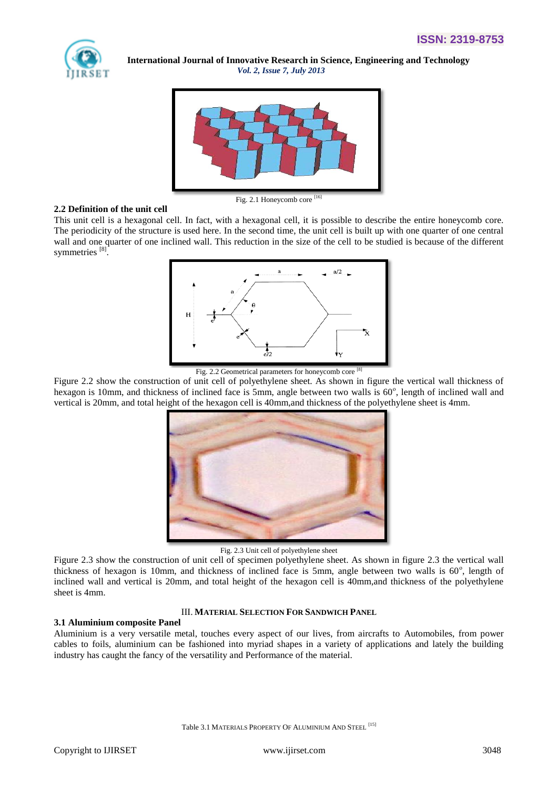



#### **2.2 Definition of the unit cell**

This unit cell is a hexagonal cell. In fact, with a hexagonal cell, it is possible to describe the entire honeycomb core. The periodicity of the structure is used here. In the second time, the unit cell is built up with one quarter of one central wall and one quarter of one inclined wall. This reduction in the size of the cell to be studied is because of the different symmetries<sup>[8]</sup>.



Fig. 2.2 Geometrical parameters for honeycomb core [8]

Figure 2.2 show the construction of unit cell of polyethylene sheet. As shown in figure the vertical wall thickness of hexagon is 10mm, and thickness of inclined face is 5mm, angle between two walls is 60°, length of inclined wall and vertical is 20mm, and total height of the hexagon cell is 40mm,and thickness of the polyethylene sheet is 4mm.



Fig. 2.3 Unit cell of polyethylene sheet

Figure 2.3 show the construction of unit cell of specimen polyethylene sheet. As shown in figure 2.3 the vertical wall thickness of hexagon is 10mm, and thickness of inclined face is 5mm, angle between two walls is 60°, length of inclined wall and vertical is 20mm, and total height of the hexagon cell is 40mm,and thickness of the polyethylene sheet is 4mm.

#### III. **MATERIAL SELECTION FOR SANDWICH PANEL**

#### **3.1 Aluminium composite Panel**

Aluminium is a very versatile metal, touches every aspect of our lives, from aircrafts to Automobiles, from power cables to foils, aluminium can be fashioned into myriad shapes in a variety of applications and lately the building industry has caught the fancy of the versatility and Performance of the material.

Table 3.1 MATERIALS PROPERTY OF ALUMINIUM AND STEEL<sup>[15]</sup>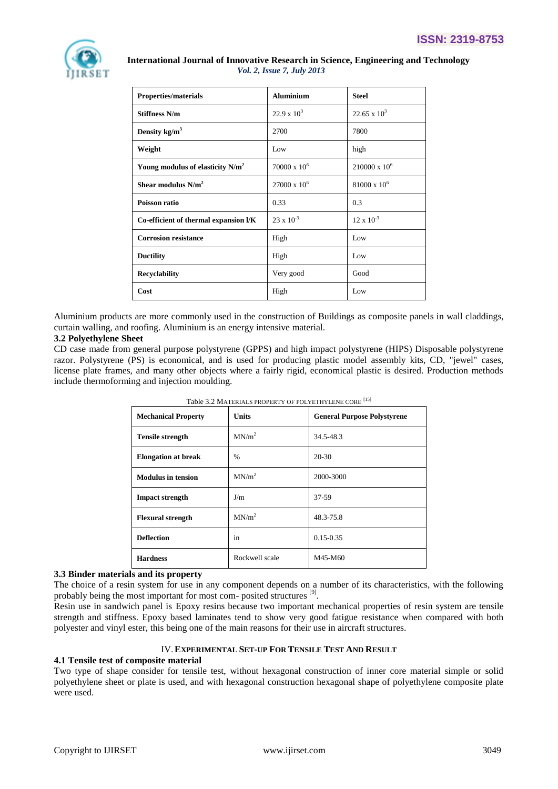

| <b>Properties/materials</b>                  | <b>Aluminium</b>    | <b>Steel</b>         |
|----------------------------------------------|---------------------|----------------------|
| <b>Stiffness N/m</b>                         | $22.9 \times 10^3$  | $22.65 \times 10^3$  |
| Density $kg/m3$                              | 2700                | 7800                 |
| Weight                                       | Low                 | high                 |
| Young modulus of elasticity N/m <sup>2</sup> | $70000 \times 10^6$ | $210000 \times 10^6$ |
| Shear modulus $N/m^2$                        | $27000 \times 10^6$ | $81000 \times 10^6$  |
| Poisson ratio                                | 0.33                | 0.3                  |
| Co-efficient of thermal expansion l/K        | $23 \times 10^{-3}$ | $12 \times 10^{-3}$  |
| <b>Corrosion resistance</b>                  | High                | Low                  |
| <b>Ductility</b>                             | High                | Low                  |
| <b>Recyclability</b>                         | Very good           | Good                 |
| Cost                                         | High                | Low                  |

Aluminium products are more commonly used in the construction of Buildings as composite panels in wall claddings, curtain walling, and roofing. Aluminium is an energy intensive material.

#### **3.2 Polyethylene Sheet**

CD case made from general purpose polystyrene (GPPS) and high impact polystyrene (HIPS) Disposable polystyrene razor. Polystyrene (PS) is economical, and is used for producing plastic model assembly kits, CD, "jewel" cases, license plate frames, and many other objects where a fairly rigid, economical plastic is desired. Production methods include thermoforming and injection moulding.

| <b>Mechanical Property</b> | <b>Units</b>      | <b>General Purpose Polystyrene</b> |
|----------------------------|-------------------|------------------------------------|
| <b>Tensile strength</b>    | MN/m <sup>2</sup> | 34.5-48.3                          |
| <b>Elongation at break</b> | $\%$              | $20 - 30$                          |
| <b>Modulus in tension</b>  | MN/m <sup>2</sup> | 2000-3000                          |
| <b>Impact strength</b>     | J/m               | 37-59                              |
| <b>Flexural strength</b>   | MN/m <sup>2</sup> | 48.3-75.8                          |
| <b>Deflection</b>          | in                | $0.15 - 0.35$                      |
| <b>Hardness</b>            | Rockwell scale    | M45-M60                            |

| Table 3.2 MATERIALS PROPERTY OF POLYETHYLENE CORE <sup>[15]</sup> |
|-------------------------------------------------------------------|
|-------------------------------------------------------------------|

## **3.3 Binder materials and its property**

The choice of a resin system for use in any component depends on a number of its characteristics, with the following probably being the most important for most com-posited structures [9].

Resin use in sandwich panel is Epoxy resins because two important mechanical properties of resin system are tensile strength and stiffness. Epoxy based laminates tend to show very good fatigue resistance when compared with both polyester and vinyl ester, this being one of the main reasons for their use in aircraft structures.

### IV.**EXPERIMENTAL SET-UP FOR TENSILE TEST AND RESULT**

#### **4.1 Tensile test of composite material**

Two type of shape consider for tensile test, without hexagonal construction of inner core material simple or solid polyethylene sheet or plate is used, and with hexagonal construction hexagonal shape of polyethylene composite plate were used.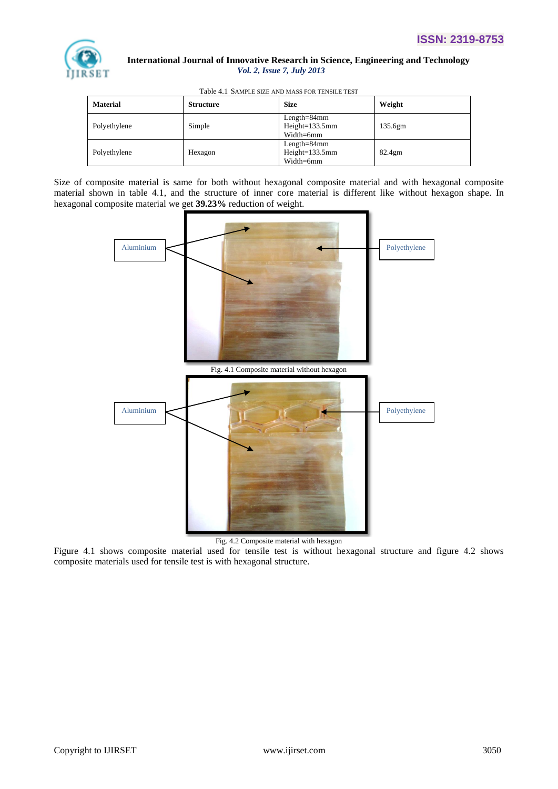

|  |  |  | Table 4.1 SAMPLE SIZE AND MASS FOR TENSILE TEST |
|--|--|--|-------------------------------------------------|
|--|--|--|-------------------------------------------------|

| <b>Material</b> | <b>Structure</b> | <b>Size</b>                                    | Weight             |
|-----------------|------------------|------------------------------------------------|--------------------|
| Polyethylene    | Simple           | $Length=84mm$<br>$Height=133.5mm$<br>Width=6mm | 135.6gm            |
| Polyethylene    | Hexagon          | $Length=84mm$<br>$Height=133.5mm$<br>Width=6mm | 82.4 <sub>gm</sub> |

Size of composite material is same for both without hexagonal composite material and with hexagonal composite material shown in table 4.1, and the structure of inner core material is different like without hexagon shape. In hexagonal composite material we get **39.23%** reduction of weight.



Fig. 4.2 Composite material with hexagon

Figure 4.1 shows composite material used for tensile test is without hexagonal structure and figure 4.2 shows composite materials used for tensile test is with hexagonal structure.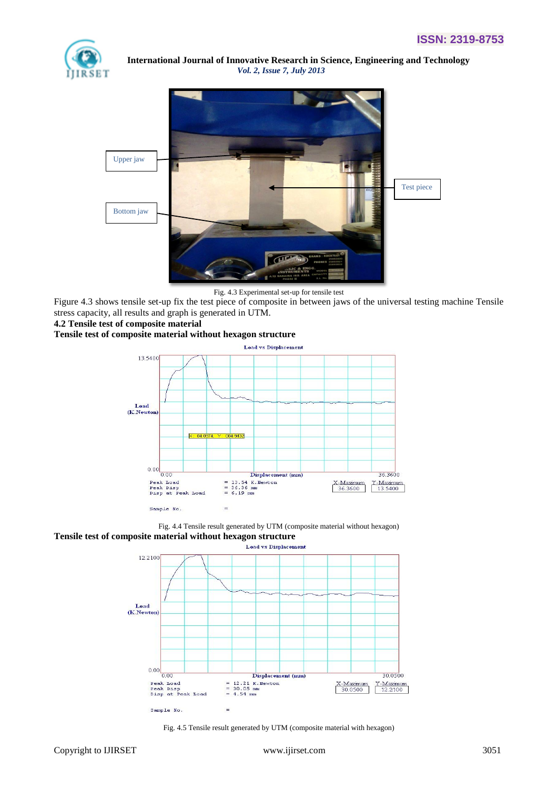



Fig. 4.3 Experimental set-up for tensile test

Figure 4.3 shows tensile set-up fix the test piece of composite in between jaws of the universal testing machine Tensile stress capacity, all results and graph is generated in UTM.

#### **4.2 Tensile test of composite material**

#### **Tensile test of composite material without hexagon structure**







Fig. 4.5 Tensile result generated by UTM (composite material with hexagon)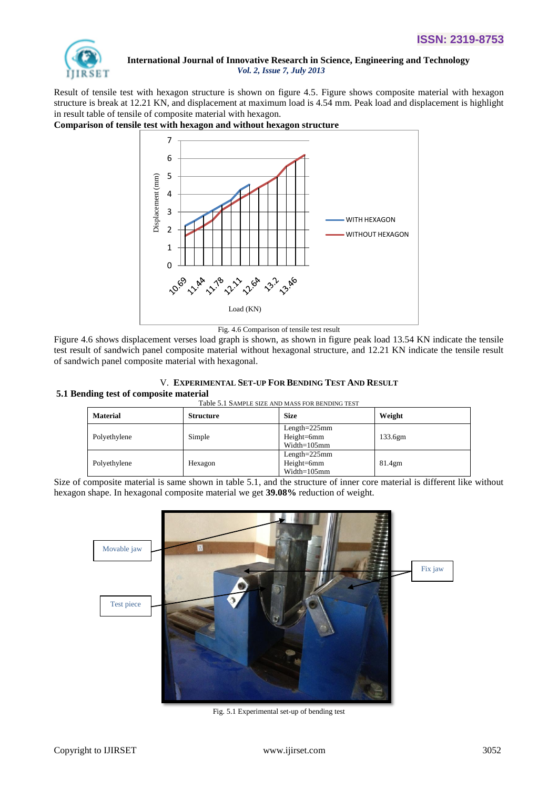

Result of tensile test with hexagon structure is shown on figure 4.5. Figure shows composite material with hexagon structure is break at 12.21 KN, and displacement at maximum load is 4.54 mm. Peak load and displacement is highlight in result table of tensile of composite material with hexagon.

#### **Comparison of tensile test with hexagon and without hexagon structure**



Fig. 4.6 Comparison of tensile test result

Figure 4.6 shows displacement verses load graph is shown, as shown in figure peak load 13.54 KN indicate the tensile test result of sandwich panel composite material without hexagonal structure, and 12.21 KN indicate the tensile result of sandwich panel composite material with hexagonal.

#### V. **EXPERIMENTAL SET-UP FOR BENDING TEST AND RESULT**

#### **5.1 Bending test of composite material**

| Table 5.1 SAMPLE SIZE AND MASS FOR BENDING TEST |  |  |
|-------------------------------------------------|--|--|
|                                                 |  |  |

| <b>Material</b> | <b>Structure</b> | <b>Size</b>                                        | Weight             |
|-----------------|------------------|----------------------------------------------------|--------------------|
| Polyethylene    | Simple           | $Length = 225mm$<br>$Height=6mm$<br>$Width=105$ mm | 133.6gm            |
| Polyethylene    | Hexagon          | $Length = 225mm$<br>$Height=6mm$<br>$Width=105$ mm | 81.4 <sub>gm</sub> |

Size of composite material is same shown in table 5.1, and the structure of inner core material is different like without hexagon shape. In hexagonal composite material we get **39.08%** reduction of weight.



Fig. 5.1 Experimental set-up of bending test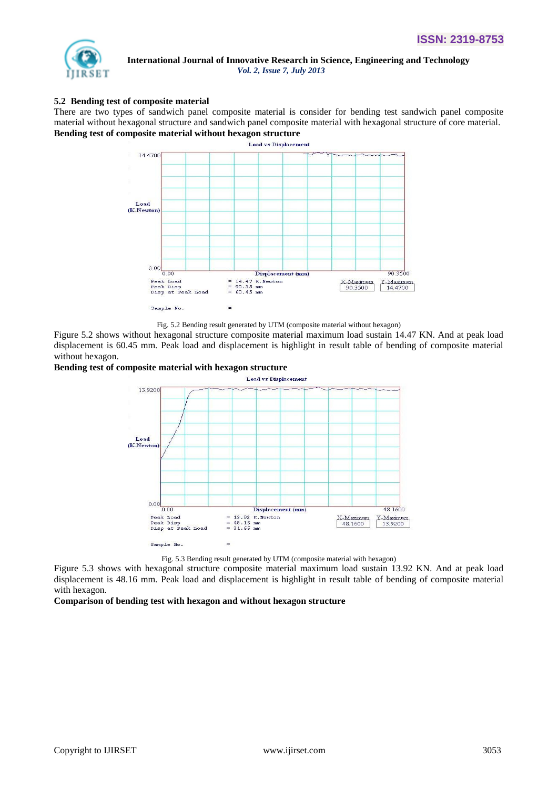

#### **5.2 Bending test of composite material**

There are two types of sandwich panel composite material is consider for bending test sandwich panel composite material without hexagonal structure and sandwich panel composite material with hexagonal structure of core material. **Bending test of composite material without hexagon structure**



Fig. 5.2 Bending result generated by UTM (composite material without hexagon)

Figure 5.2 shows without hexagonal structure composite material maximum load sustain 14.47 KN. And at peak load displacement is 60.45 mm. Peak load and displacement is highlight in result table of bending of composite material without hexagon.

#### **Bending test of composite material with hexagon structure**



Fig. 5.3 Bending result generated by UTM (composite material with hexagon)

Figure 5.3 shows with hexagonal structure composite material maximum load sustain 13.92 KN. And at peak load displacement is 48.16 mm. Peak load and displacement is highlight in result table of bending of composite material with hexagon.

#### **Comparison of bending test with hexagon and without hexagon structure**